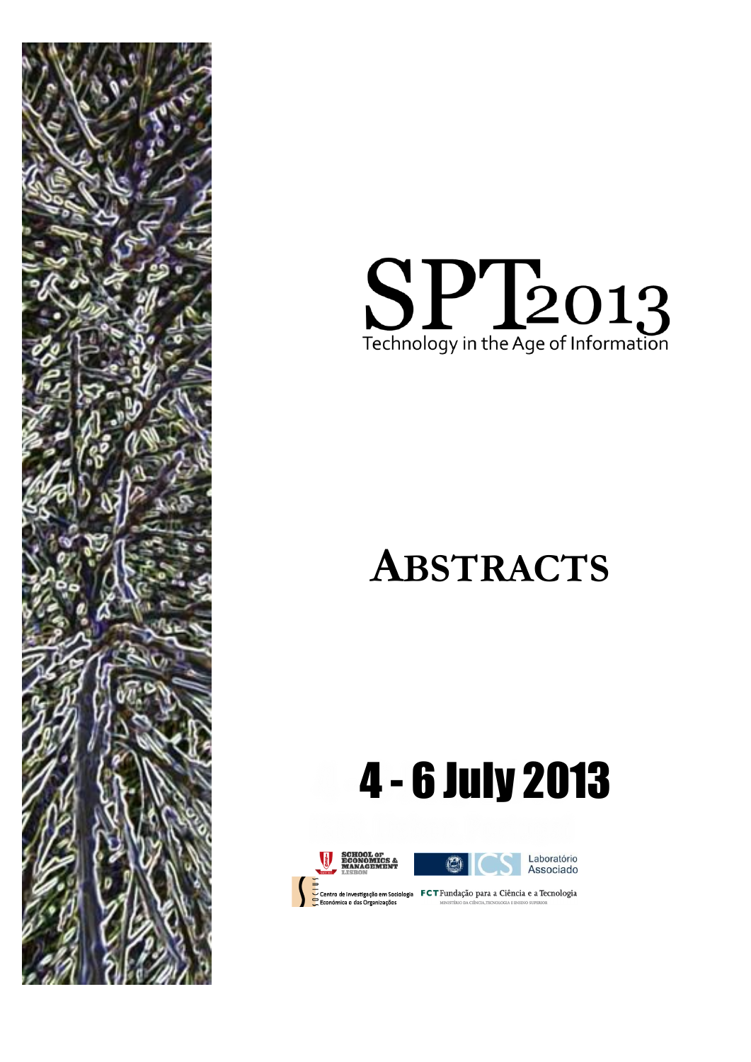



## **ABSTRACTS**

## 4 - 6 July 2013

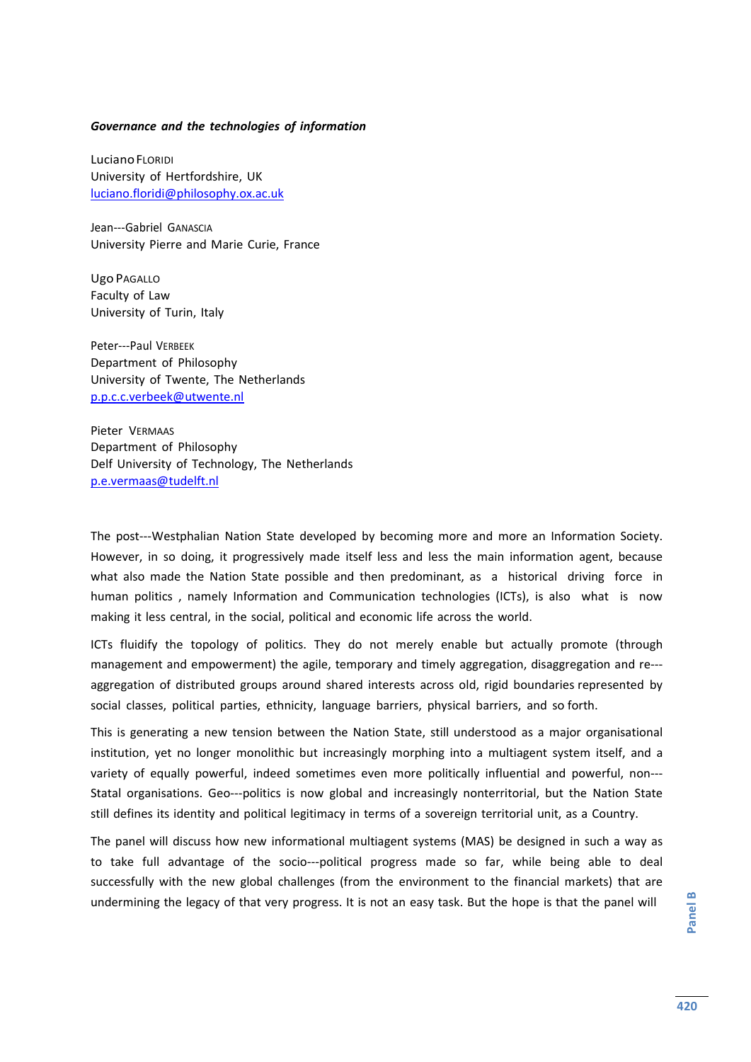## *Governance and the technologies of information*

LucianoFLORIDI University of Hertfordshire, UK [luciano.floridi@philosophy.ox.ac.uk](mailto:luciano.floridi@philosophy.ox.ac.uk)

Jean---Gabriel GANASCIA University Pierre and Marie Curie, France

Ugo PAGALLO Faculty of Law University of Turin, Italy

Peter--‐Paul VERBEEK Department of Philosophy University of Twente, The Netherlands [p.p.c.c.verbeek@utwente.nl](mailto:p.p.c.c.verbeek@utwente.nl)

Pieter VERMAAS Department of Philosophy Delf University of Technology, The Netherlands [p.e.vermaas@tudelft.nl](mailto:p.e.vermaas@tudelft.nl)

The post---Westphalian Nation State developed by becoming more and more an Information Society. However, in so doing, it progressively made itself less and less the main information agent, because what also made the Nation State possible and then predominant, as a historical driving force in human politics , namely Information and Communication technologies (ICTs), is also what is now making it less central, in the social, political and economic life across the world.

ICTs fluidify the topology of politics. They do not merely enable but actually promote (through management and empowerment) the agile, temporary and timely aggregation, disaggregation and re--aggregation of distributed groups around shared interests across old, rigid boundaries represented by social classes, political parties, ethnicity, language barriers, physical barriers, and so forth.

This is generating a new tension between the Nation State, still understood as a major organisational institution, yet no longer monolithic but increasingly morphing into a multiagent system itself, and a variety of equally powerful, indeed sometimes even more politically influential and powerful, non-‐‐ Statal organisations. Geo---politics is now global and increasingly nonterritorial, but the Nation State still defines its identity and political legitimacy in terms of a sovereign territorial unit, as a Country.

The panel will discuss how new informational multiagent systems (MAS) be designed in such a way as to take full advantage of the socio--‐political progress made so far, while being able to deal successfully with the new global challenges (from the environment to the financial markets) that are undermining the legacy of that very progress. It is not an easy task. But the hope is that the panel will